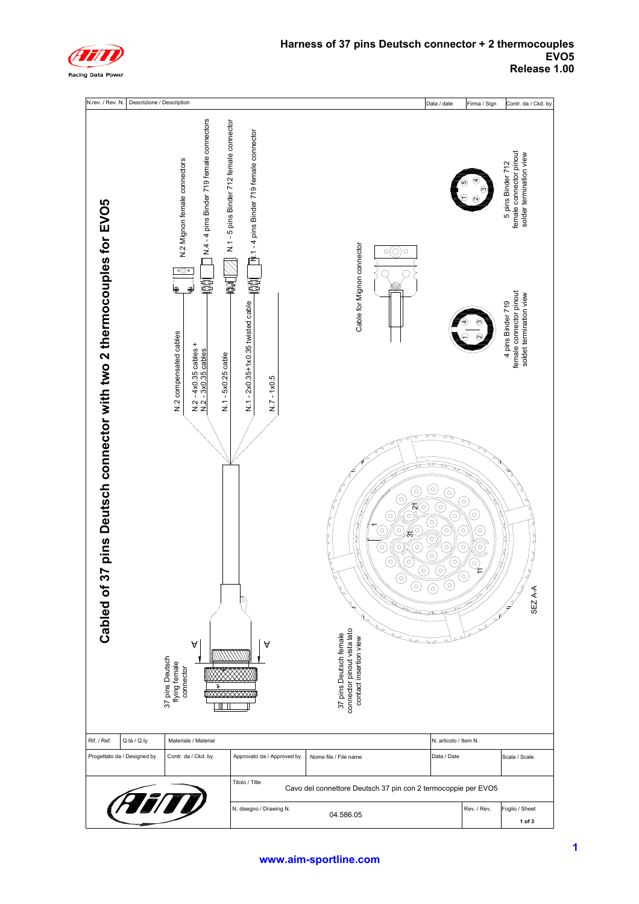

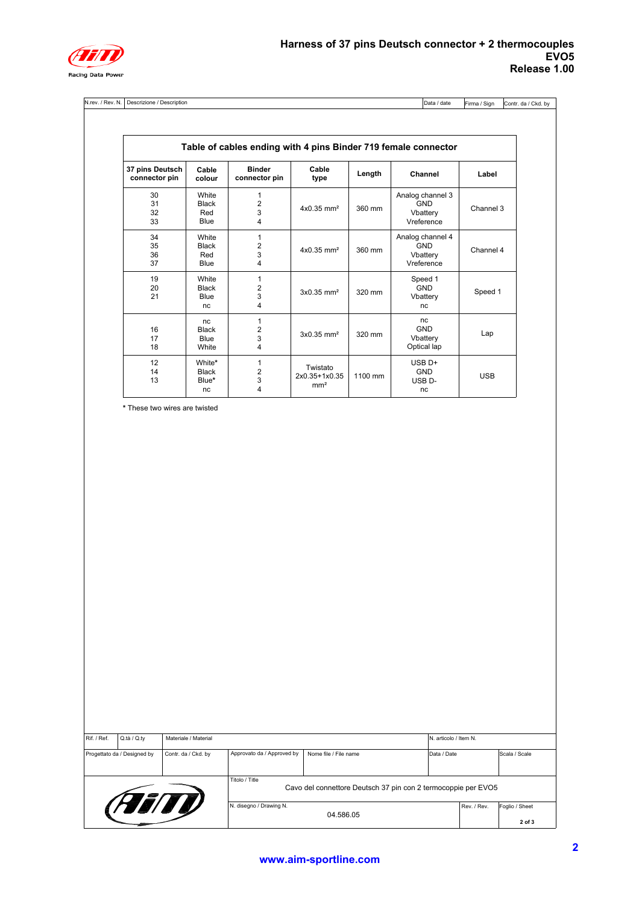

N.rev. / Rev. N. Descrizione / Description Data / date

Firma / Sign Contr. da / Ckd. by

| 37 pins Deutsch<br>connector pin | Cable<br>colour | <b>Binder</b><br>connector pin | Cable<br>type            | Length  | Channel            | Label      |  |
|----------------------------------|-----------------|--------------------------------|--------------------------|---------|--------------------|------------|--|
|                                  |                 |                                |                          |         |                    |            |  |
| 30                               | White           | 1                              |                          |         | Analog channel 3   |            |  |
| 31                               | <b>Black</b>    | 2                              | $4x0.35$ mm <sup>2</sup> | 360 mm  | <b>GND</b>         | Channel 3  |  |
| 32                               | Red             | 3                              |                          |         | Vbattery           |            |  |
| 33                               | Blue            | 4                              |                          |         | Vreference         |            |  |
| 34                               | White           | $\mathbf{1}$                   |                          |         | Analog channel 4   |            |  |
| 35                               | <b>Black</b>    | 2                              |                          |         | <b>GND</b>         |            |  |
| 36                               | Red             | 3                              | $4x0.35$ mm <sup>2</sup> | 360 mm  | Vbattery           | Channel 4  |  |
| 37                               | Blue            | $\overline{\mathbf{4}}$        |                          |         | Vreference         |            |  |
| 19                               | White           | 1                              |                          |         | Speed 1            |            |  |
| 20                               | <b>Black</b>    | 2                              |                          |         | <b>GND</b>         |            |  |
| 21                               | Blue            | 3                              | $3x0.35$ mm <sup>2</sup> | 320 mm  | Vbattery           | Speed 1    |  |
|                                  | nc.             | $\overline{4}$                 |                          |         | nc                 |            |  |
|                                  | nc.             | 1                              |                          |         | nc                 |            |  |
| 16                               | Black           | $\overline{2}$                 |                          |         | <b>GND</b>         |            |  |
| 17                               | Blue            | 3                              | $3x0.35$ mm <sup>2</sup> | 320 mm  | Vbattery           | Lap        |  |
| 18                               | White           | 4                              |                          |         | Optical lap        |            |  |
| 12                               | White*          | 1                              |                          |         | $USB$ D+           |            |  |
| 14                               | Black           | 2                              | Twistato                 |         | <b>GND</b>         |            |  |
| 13                               | Blue*           | 3                              | 2x0.35+1x0.35            | 1100 mm | USB <sub>D</sub> - | <b>USB</b> |  |
|                                  | nc              | 4                              | mm <sup>2</sup>          |         | nc                 |            |  |

**\*** These two wires are twisted

| Rif. / Ref.                                        | Q.ta / Q.tv | Materiale / Material                                                            |                       |             |             | IN. articolo / Item N. |        |  |
|----------------------------------------------------|-------------|---------------------------------------------------------------------------------|-----------------------|-------------|-------------|------------------------|--------|--|
| Contr. da / Ckd. by<br>Progettato da / Designed by |             | Approvato da / Approved by                                                      | Nome file / File name | Data / Date |             | Scala / Scale          |        |  |
| (FETI)                                             |             | Titolo / Title<br>Cavo del connettore Deutsch 37 pin con 2 termocoppie per EVO5 |                       |             |             |                        |        |  |
|                                                    |             | N. disegno / Drawing N.<br>04.586.05                                            |                       |             | Rev. / Rev. | Foglio / Sheet         |        |  |
|                                                    |             |                                                                                 |                       |             |             |                        | 2 of 3 |  |